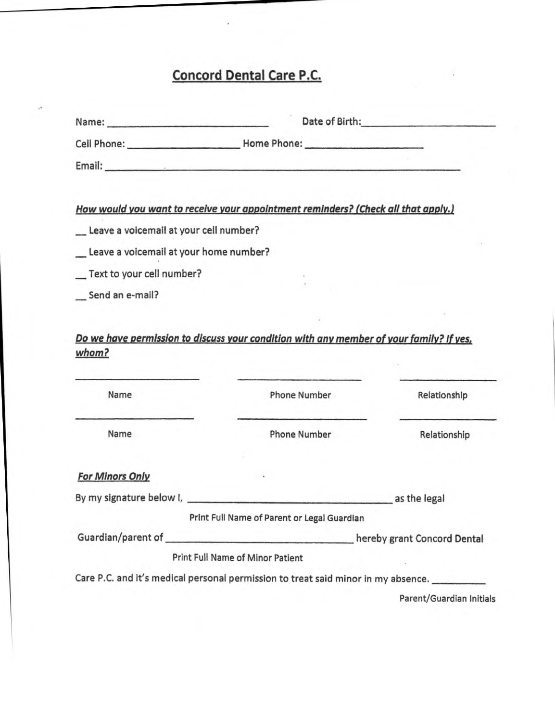## **Concord Dental Care P.C.**

|                                          | Date of Birth: National Contract of Birth:                                                          |                          |  |
|------------------------------------------|-----------------------------------------------------------------------------------------------------|--------------------------|--|
|                                          |                                                                                                     |                          |  |
|                                          | Email: Email: And All And All And All And All And All And All And All And All And All And All And A |                          |  |
|                                          | How would you want to receive your appointment reminders? (Check all that apply.)                   |                          |  |
| _ Leave a voicemail at your cell number? |                                                                                                     |                          |  |
| Leave a voicemail at your home number?   |                                                                                                     |                          |  |
| _Text to your cell number?               |                                                                                                     |                          |  |
| Send an e-mail?                          |                                                                                                     |                          |  |
|                                          | Do we have permission to discuss your condition with any member of your family? If yes,             |                          |  |
| whom?                                    |                                                                                                     |                          |  |
| Name                                     | <b>Phone Number</b>                                                                                 | Relationship             |  |
| Name                                     | <b>Phone Number</b>                                                                                 | Relationship             |  |
| <b>For Minors Only</b>                   |                                                                                                     |                          |  |
|                                          |                                                                                                     |                          |  |
|                                          | Print Full Name of Parent or Legal Guardian                                                         |                          |  |
|                                          |                                                                                                     |                          |  |
|                                          | Print Full Name of Minor Patient                                                                    |                          |  |
|                                          | Care P.C. and it's medical personal permission to treat said minor in my absence.                   |                          |  |
|                                          |                                                                                                     | Parent/Guardian Initials |  |